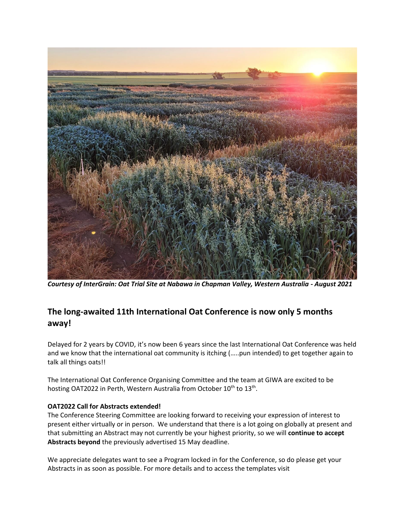

*Courtesy of InterGrain: Oat Trial Site at Nabawa in Chapman Valley, Western Australia - August 2021*

## **The long-awaited 11th International Oat Conference is now only 5 months away!**

Delayed for 2 years by COVID, it's now been 6 years since the last International Oat Conference was held and we know that the international oat community is itching (…..pun intended) to get together again to talk all things oats!!

The International Oat Conference Organising Committee and the team at GIWA are excited to be hosting OAT2022 in Perth, Western Australia from October 10<sup>th</sup> to 13<sup>th</sup>.

## **OAT2022 Call for Abstracts extended!**

The Conference Steering Committee are looking forward to receiving your expression of interest to present either virtually or in person. We understand that there is a lot going on globally at present and that submitting an Abstract may not currently be your highest priority, so we will **continue to accept Abstracts beyond** the previously advertised 15 May deadline.

We appreciate delegates want to see a Program locked in for the Conference, so do please get your Abstracts in as soon as possible. For more details and to access the templates visit